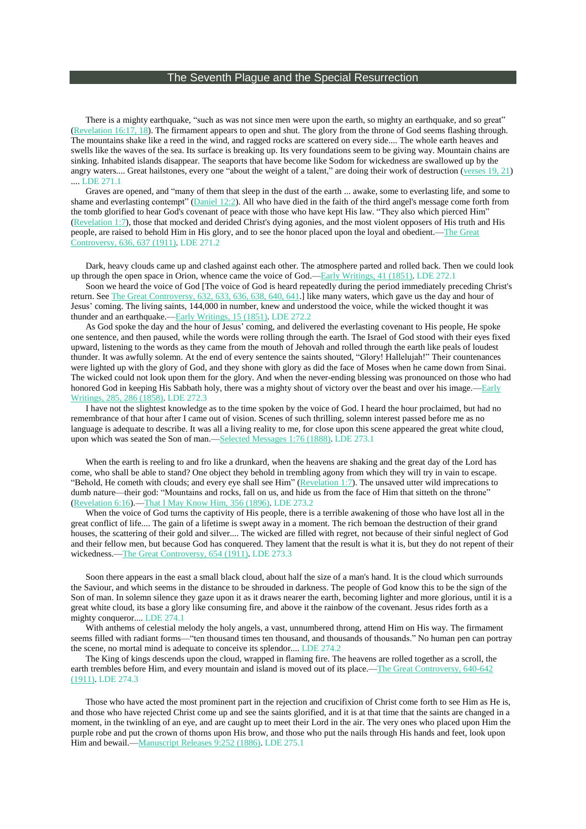## The Seventh Plague and the Special Resurrection

There is a mighty earthquake, "such as was not since men were upon the earth, so mighty an earthquake, and so great" [\(Revelation](https://m.egwwritings.org/en/book/1965.63194#63194) 16:17, 18). The firmament appears to open and shut. The glory from the throne of God seems flashing through. The mountains shake like a reed in the wind, and ragged rocks are scattered on every side.... The whole earth heaves and swells like the waves of the sea. Its surface is breaking up. Its very foundations seem to be giving way. Mountain chains are sinking. Inhabited islands disappear. The seaports that have become like Sodom for wickedness are swallowed up by the angry waters.... Great hailstones, every one "about the weight of a talent," are doing their work of destruction [\(verses](https://m.egwwritings.org/en/book/1965.63198#63198) 19, 21) .... LDE 271.1

Graves are opened, and "many of them that sleep in the dust of the earth ... awake, some to everlasting life, and some to shame and everlasting contempt" [\(Daniel](https://m.egwwritings.org/en/book/1965.45058#45058) 12:2). All who have died in the faith of the third angel's message come forth from the tomb glorified to hear God's covenant of peace with those who have kept His law. "They also which pierced Him" [\(Revelation](https://m.egwwritings.org/en/book/1965.62645#62645) 1:7), those that mocked and derided Christ's dying agonies, and the most violent opposers of His truth and His people, are raised to behold Him in His glory, and to see the honor placed upon the loyal and obedient.—The [Great](https://m.egwwritings.org/en/book/132.2874#2874) [Controversy,](https://m.egwwritings.org/en/book/132.2874#2874) 636, 637 (1911). LDE 271.2

Dark, heavy clouds came up and clashed against each other. The atmosphere parted and rolled back. Then we could look up through the open space in Orion, whence came the voice of God.—Early [Writings,](https://m.egwwritings.org/en/book/28.327#327) 41 (1851). LDE 272.1

Soon we heard the voice of God [The voice of God is heard repeatedly during the period immediately preceding Christ's return. See The Great [Controversy,](https://m.egwwritings.org/en/book/132.2856#2856) 632, 633, 636, 638, 640, 641.] like many waters, which gave us the day and hour of Jesus' coming. The living saints, 144,000 in number, knew and understood the voice, while the wicked thought it was thunder and an earthquake.—Early [Writings,](https://m.egwwritings.org/en/book/28.78#78) 15 (1851). LDE 272.2

As God spoke the day and the hour of Jesus' coming, and delivered the everlasting covenant to His people, He spoke one sentence, and then paused, while the words were rolling through the earth. The Israel of God stood with their eyes fixed upward, listening to the words as they came from the mouth of Jehovah and rolled through the earth like peals of loudest thunder. It was awfully solemn. At the end of every sentence the saints shouted, "Glory! Hallelujah!" Their countenances were lighted up with the glory of God, and they shone with glory as did the face of Moses when he came down from Sinai. The wicked could not look upon them for the glory. And when the never-ending blessing was pronounced on those who had honored God in keeping His Sabbath holy, there was a mighty shout of victory over the beast and over his image.[—Early](https://m.egwwritings.org/en/book/28.1383#1383) [Writings,](https://m.egwwritings.org/en/book/28.1383#1383) 285, 286 (1858). LDE 272.3

I have not the slightest knowledge as to the time spoken by the voice of God. I heard the hour proclaimed, but had no remembrance of that hour after I came out of vision. Scenes of such thrilling, solemn interest passed before me as no language is adequate to describe. It was all a living reality to me, for close upon this scene appeared the great white cloud, upon which was seated the Son of man.—Selected [Messages](https://m.egwwritings.org/en/book/98.464#464) 1:76 (1888). LDE 273.1

When the earth is reeling to and fro like a drunkard, when the heavens are shaking and the great day of the Lord has come, who shall be able to stand? One object they behold in trembling agony from which they will try in vain to escape. "Behold, He cometh with clouds; and every eye shall see Him" [\(Revelation](https://m.egwwritings.org/en/book/1965.62645#62645) 1:7). The unsaved utter wild imprecations to dumb nature—their god: "Mountains and rocks, fall on us, and hide us from the face of Him that sitteth on the throne" [\(Revelation](https://m.egwwritings.org/en/book/1965.62860#62860) 6:16).—That I May Know Him, 356 [\(1896\).](https://m.egwwritings.org/en/book/126.2346#2346) LDE 273.2

When the voice of God turns the captivity of His people, there is a terrible awakening of those who have lost all in the great conflict of life.... The gain of a lifetime is swept away in a moment. The rich bemoan the destruction of their grand houses, the scattering of their gold and silver.... The wicked are filled with regret, not because of their sinful neglect of God and their fellow men, but because God has conquered. They lament that the result is what it is, but they do not repent of their wickedness.—The Great [Controversy,](https://m.egwwritings.org/en/book/132.2951#2951) 654 (1911). LDE 273.3

Soon there appears in the east a small black cloud, about half the size of a man's hand. It is the cloud which surrounds the Saviour, and which seems in the distance to be shrouded in darkness. The people of God know this to be the sign of the Son of man. In solemn silence they gaze upon it as it draws nearer the earth, becoming lighter and more glorious, until it is a great white cloud, its base a glory like consuming fire, and above it the rainbow of the covenant. Jesus rides forth as a mighty conqueror.... LDE 274.1

With anthems of celestial melody the holy angels, a vast, unnumbered throng, attend Him on His way. The firmament seems filled with radiant forms—"ten thousand times ten thousand, and thousands of thousands." No human pen can portray the scene, no mortal mind is adequate to conceive its splendor.... LDE 274.2

The King of kings descends upon the cloud, wrapped in flaming fire. The heavens are rolled together as a scroll, the earth trembles before Him, and every mountain and island is moved out of its place.—The Great [Controversy,](https://m.egwwritings.org/en/book/132.2891#2891) 640-642 [\(1911\).](https://m.egwwritings.org/en/book/132.2891#2891) LDE 274.3

Those who have acted the most prominent part in the rejection and crucifixion of Christ come forth to see Him as He is, and those who have rejected Christ come up and see the saints glorified, and it is at that time that the saints are changed in a moment, in the twinkling of an eye, and are caught up to meet their Lord in the air. The very ones who placed upon Him the purple robe and put the crown of thorns upon His brow, and those who put the nails through His hands and feet, look upon Him and bewail.[—Manuscript](https://m.egwwritings.org/en/book/59.1376#1376) Releases 9:252 (1886). LDE 275.1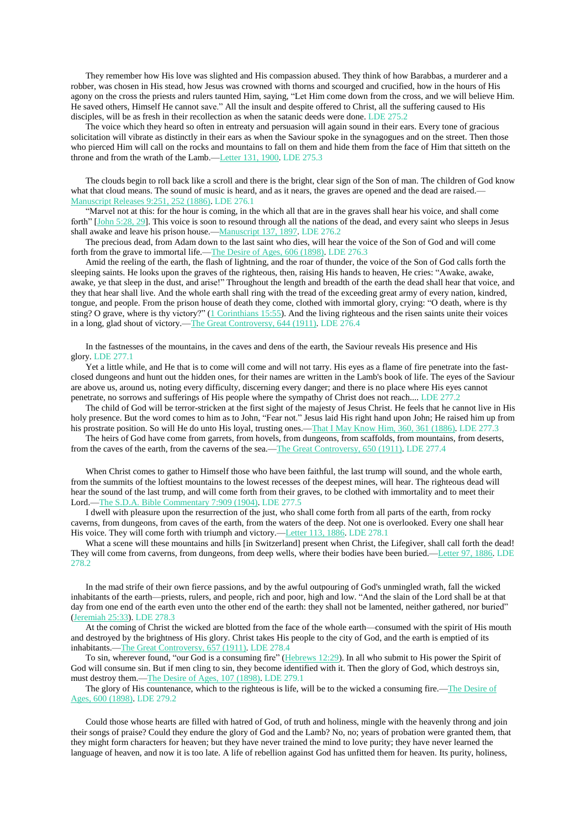They remember how His love was slighted and His compassion abused. They think of how Barabbas, a murderer and a robber, was chosen in His stead, how Jesus was crowned with thorns and scourged and crucified, how in the hours of His agony on the cross the priests and rulers taunted Him, saying, "Let Him come down from the cross, and we will believe Him. He saved others, Himself He cannot save." All the insult and despite offered to Christ, all the suffering caused to His disciples, will be as fresh in their recollection as when the satanic deeds were done. LDE 275.2

The voice which they heard so often in entreaty and persuasion will again sound in their ears. Every tone of gracious solicitation will vibrate as distinctly in their ears as when the Saviour spoke in the synagogues and on the street. Then those who pierced Him will call on the rocks and mountains to fall on them and hide them from the face of Him that sitteth on the throne and from the wrath of the Lamb.[—Letter](https://m.egwwritings.org/en/book/14065.10636001#10636001) 131, 1900. LDE 275.3

The clouds begin to roll back like a scroll and there is the bright, clear sign of the Son of man. The children of God know what that cloud means. The sound of music is heard, and as it nears, the graves are opened and the dead are raised.— [Manuscript](https://m.egwwritings.org/en/book/59.1372#1372) Releases 9:251, 252 (1886). LDE 276.1

"Marvel not at this: for the hour is coming, in the which all that are in the graves shall hear his voice, and shall come forth" [\[John](https://m.egwwritings.org/en/book/1965.53524#53524) 5:28, 29]. This voice is soon to resound through all the nations of the dead, and every saint who sleeps in Jesus shall awake and leave his prison house.[—Manuscript](https://m.egwwritings.org/en/book/14062.6014001#6014001) 137, 1897. LDE 276.2

The precious dead, from Adam down to the last saint who dies, will hear the voice of the Son of God and will come forth from the grave to immortal life.—The Desire of Ages, 606 [\(1898\).](https://m.egwwritings.org/en/book/130.2967#2967) LDE 276.3

Amid the reeling of the earth, the flash of lightning, and the roar of thunder, the voice of the Son of God calls forth the sleeping saints. He looks upon the graves of the righteous, then, raising His hands to heaven, He cries: "Awake, awake, awake, ye that sleep in the dust, and arise!" Throughout the length and breadth of the earth the dead shall hear that voice, and they that hear shall live. And the whole earth shall ring with the tread of the exceeding great army of every nation, kindred, tongue, and people. From the prison house of death they come, clothed with immortal glory, crying: "O death, where is thy sting? O grave, where is thy victory?" (1 [Corinthians](https://m.egwwritings.org/en/book/1965.58672#58672) 15:55). And the living righteous and the risen saints unite their voices in a long, glad shout of victory.—The Great [Controversy,](https://m.egwwritings.org/en/book/132.2910#2910) 644 (1911). LDE 276.4

In the fastnesses of the mountains, in the caves and dens of the earth, the Saviour reveals His presence and His glory. LDE 277.1

Yet a little while, and He that is to come will come and will not tarry. His eyes as a flame of fire penetrate into the fastclosed dungeons and hunt out the hidden ones, for their names are written in the Lamb's book of life. The eyes of the Saviour are above us, around us, noting every difficulty, discerning every danger; and there is no place where His eyes cannot penetrate, no sorrows and sufferings of His people where the sympathy of Christ does not reach.... LDE 277.2

The child of God will be terror-stricken at the first sight of the majesty of Jesus Christ. He feels that he cannot live in His holy presence. But the word comes to him as to John, "Fear not." Jesus laid His right hand upon John; He raised him up from his prostrate position. So will He do unto His loyal, trusting ones.—That I May Know Him, 360, 361 [\(1886\).](https://m.egwwritings.org/en/book/126.2372#2372) LDE 277.3

The heirs of God have come from garrets, from hovels, from dungeons, from scaffolds, from mountains, from deserts, from the caves of the earth, from the caverns of the sea.—The Great [Controversy,](https://m.egwwritings.org/en/book/132.2936#2936) 650 (1911). LDE 277.4

When Christ comes to gather to Himself those who have been faithful, the last trump will sound, and the whole earth, from the summits of the loftiest mountains to the lowest recesses of the deepest mines, will hear. The righteous dead will hear the sound of the last trump, and will come forth from their graves, to be clothed with immortality and to meet their Lord.—The S.D.A. Bible [Commentary](https://m.egwwritings.org/en/book/96.112#112) 7:909 (1904). LDE 277.5

I dwell with pleasure upon the resurrection of the just, who shall come forth from all parts of the earth, from rocky caverns, from dungeons, from caves of the earth, from the waters of the deep. Not one is overlooked. Every one shall hear His voice. They will come forth with triumph and victory.[—Letter](https://m.egwwritings.org/en/book/14054.4008001#4008001) 113, 1886. LDE 278.1

What a scene will these mountains and hills [in Switzerland] present when Christ, the Lifegiver, shall call forth the dead! They will come from caverns, from dungeons, from deep wells, where their bodies have been buried.[—Letter](https://m.egwwritings.org/en/book/14054.4362001#4362001) 97, 1886. LDE 278.2

In the mad strife of their own fierce passions, and by the awful outpouring of God's unmingled wrath, fall the wicked inhabitants of the earth—priests, rulers, and people, rich and poor, high and low. "And the slain of the Lord shall be at that day from one end of the earth even unto the other end of the earth: they shall not be lamented, neither gathered, nor buried" [\(Jeremiah](https://m.egwwritings.org/en/book/1965.39931#39931) 25:33). LDE 278.3

At the coming of Christ the wicked are blotted from the face of the whole earth—consumed with the spirit of His mouth and destroyed by the brightness of His glory. Christ takes His people to the city of God, and the earth is emptied of its inhabitants.—The Great [Controversy,](https://m.egwwritings.org/en/book/132.2968#2968) 657 (1911). LDE 278.4

To sin, wherever found, "our God is a consuming fire" [\(Hebrews](https://m.egwwritings.org/en/book/1965.61688#61688) 12:29). In all who submit to His power the Spirit of God will consume sin. But if men cling to sin, they become identified with it. Then the glory of God, which destroys sin, must destroy them.—The Desire of Ages, 107 [\(1898\).](https://m.egwwritings.org/en/book/130.423#423) LDE 279.1

The glory of His countenance, which to the righteous is life, will be to the wicked a consuming fire.—The [Desire](https://m.egwwritings.org/en/book/130.2934#2934) of Ages, 600 [\(1898\).](https://m.egwwritings.org/en/book/130.2934#2934) LDE 279.2

Could those whose hearts are filled with hatred of God, of truth and holiness, mingle with the heavenly throng and join their songs of praise? Could they endure the glory of God and the Lamb? No, no; years of probation were granted them, that they might form characters for heaven; but they have never trained the mind to love purity; they have never learned the language of heaven, and now it is too late. A life of rebellion against God has unfitted them for heaven. Its purity, holiness,